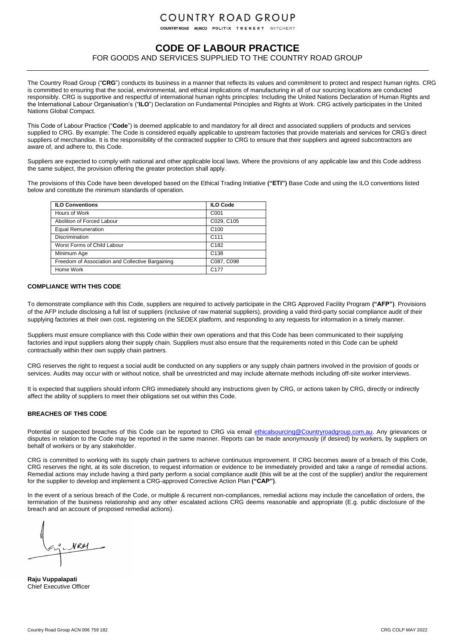## **COUNTRY ROAD GROUP**

COUNTRY ROAD MIMCO POLITIX TRENERY WITCHERY

### **CODE OF LABOUR PRACTICE**

FOR GOODS AND SERVICES SUPPLIED TO THE COUNTRY ROAD GROUP

The Country Road Group ("**CRG**") conducts its business in a manner that reflects its values and commitment to protect and respect human rights. CRG is committed to ensuring that the social, environmental, and ethical implications of manufacturing in all of our sourcing locations are conducted responsibly. CRG is supportive and respectful of international human rights principles: Including the United Nations Declaration of Human Rights and the International Labour Organisation's ("**ILO**") Declaration on Fundamental Principles and Rights at Work. CRG actively participates in the United Nations Global Compact.

This Code of Labour Practice ("**Code**") is deemed applicable to and mandatory for all direct and associated suppliers of products and services supplied to CRG. By example: The Code is considered equally applicable to upstream factories that provide materials and services for CRG's direct suppliers of merchandise. It is the responsibility of the contracted supplier to CRG to ensure that their suppliers and agreed subcontractors are aware of, and adhere to, this Code.

Suppliers are expected to comply with national and other applicable local laws. Where the provisions of any applicable law and this Code address the same subject, the provision offering the greater protection shall apply.

The provisions of this Code have been developed based on the Ethical Trading Initiative **("ETI")** Base Code and using the ILO conventions listed below and constitute the minimum standards of operation.

| <b>ILO Conventions</b>                           | <b>ILO Code</b>  |
|--------------------------------------------------|------------------|
| Hours of Work                                    | C001             |
| Abolition of Forced Labour                       | C029, C105       |
| <b>Equal Remuneration</b>                        | C <sub>100</sub> |
| <b>Discrimination</b>                            | C <sub>111</sub> |
| Worst Forms of Child Labour                      | C <sub>182</sub> |
| Minimum Age                                      | C <sub>138</sub> |
| Freedom of Association and Collective Bargaining | C087, C098       |
| Home Work                                        | C <sub>177</sub> |

#### **COMPLIANCE WITH THIS CODE**

To demonstrate compliance with this Code, suppliers are required to actively participate in the CRG Approved Facility Program **("AFP")**. Provisions of the AFP include disclosing a full list of suppliers (inclusive of raw material suppliers), providing a valid third-party social compliance audit of their supplying factories at their own cost, registering on the SEDEX platform, and responding to any requests for information in a timely manner.

Suppliers must ensure compliance with this Code within their own operations and that this Code has been communicated to their supplying factories and input suppliers along their supply chain. Suppliers must also ensure that the requirements noted in this Code can be upheld contractually within their own supply chain partners.

CRG reserves the right to request a social audit be conducted on any suppliers or any supply chain partners involved in the provision of goods or services. Audits may occur with or without notice, shall be unrestricted and may include alternate methods including off-site worker interviews.

It is expected that suppliers should inform CRG immediately should any instructions given by CRG, or actions taken by CRG, directly or indirectly affect the ability of suppliers to meet their obligations set out within this Code.

#### **BREACHES OF THIS CODE**

Potential or suspected breaches of this Code can be reported to CRG via email [ethicalsourcing@Countryroadgroup.com.au.](mailto:ethicalsourcing@Countryroadgroup.com.au?subject=CRG%20Code%20of%20Conduct:%20Reported%20or%20alleged%20breaches) Any grievances or disputes in relation to the Code may be reported in the same manner. Reports can be made anonymously (if desired) by workers, by suppliers on behalf of workers or by any stakeholder.

CRG is committed to working with its supply chain partners to achieve continuous improvement. If CRG becomes aware of a breach of this Code, CRG reserves the right, at its sole discretion, to request information or evidence to be immediately provided and take a range of remedial actions. Remedial actions may include having a third party perform a social compliance audit (this will be at the cost of the supplier) and/or the requirement for the supplier to develop and implement a CRG-approved Corrective Action Plan **("CAP")**.

In the event of a serious breach of the Code, or multiple & recurrent non-compliances, remedial actions may include the cancellation of orders, the termination of the business relationship and any other escalated actions CRG deems reasonable and appropriate (E.g. public disclosure of the breach and an account of proposed remedial actions).

NRM

**Raju Vuppalapati** Chief Executive Officer